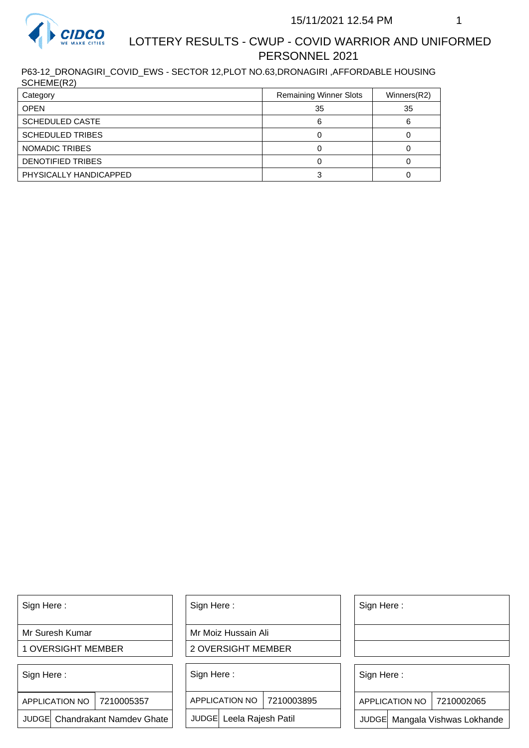

## LOTTERY RESULTS - CWUP - COVID WARRIOR AND UNIFORMED PERSONNEL 2021

P63-12\_DRONAGIRI\_COVID\_EWS - SECTOR 12,PLOT NO.63,DRONAGIRI ,AFFORDABLE HOUSING SCHEME(R2)

| Category                | <b>Remaining Winner Slots</b> | Winners(R2) |
|-------------------------|-------------------------------|-------------|
| <b>OPEN</b>             | 35                            | 35          |
| <b>SCHEDULED CASTE</b>  |                               |             |
| <b>SCHEDULED TRIBES</b> |                               |             |
| NOMADIC TRIBES          |                               |             |
| DENOTIFIED TRIBES       |                               |             |
| PHYSICALLY HANDICAPPED  |                               |             |

Sign Here :

Mr Suresh Kumar

1 OVERSIGHT MEMBER

Sign Here :

7210005357 APPLICATION NO

JUDGE Chandrakant Namdev Ghate

Sign Here :

Mr Moiz Hussain Ali

2 OVERSIGHT MEMBER

Sign Here :

APPLICATION NO 7210003895

JUDGE Leela Rajesh Patil

Sign Here :

Sign Here :

APPLICATION NO | 7210002065

Chandrakant Namdev Ghate  $|\quad|$  JUDGE Leela Rajesh Patil  $|\quad|$  JUDGE Mangala Vishwas Lokhande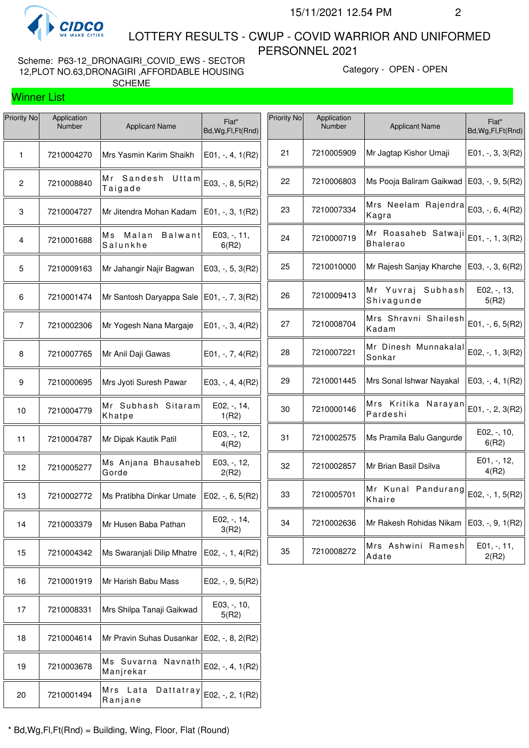

Winner List

 LOTTERY RESULTS - CWUP - COVID WARRIOR AND UNIFORMED PERSONNEL 2021

Scheme: P63-12\_DRONAGIRI\_COVID\_EWS - SECTOR 12,PLOT NO.63,DRONAGIRI ,AFFORDABLE HOUSING SCHEME

Category - OPEN - OPEN

| Priority No    | Application<br><b>Number</b> | <b>Applicant Name</b>            | Flat*<br>Bd, Wg, Fl, Ft (Rnd) | Priority No | Application<br>Number | <b>Applicant Name</b>                  | Flat*<br>Bd, Wg, Fl, Ft(Rnd) |
|----------------|------------------------------|----------------------------------|-------------------------------|-------------|-----------------------|----------------------------------------|------------------------------|
| $\mathbf{1}$   | 7210004270                   | Mrs Yasmin Karim Shaikh          | $E01, -, 4, 1(R2)$            | 21          | 7210005909            | Mr Jagtap Kishor Umaji                 | $E01, -3, 3(R2)$             |
| $\overline{2}$ | 7210008840                   | Mr Sandesh Uttam<br>Taigade      | E03, -, 8, 5(R2)              | 22          | 7210006803            | Ms Pooja Baliram Gaikwad               | E03, -, 9, 5(R2)             |
| 3              | 7210004727                   | Mr Jitendra Mohan Kadam          | $E01, -3, 1(R2)$              | 23          | 7210007334            | Mrs Neelam Rajendra<br>Kagra           | E03, -, 6, 4(R2)             |
| 4              | 7210001688                   | Ms Malan<br>Balwant<br>Salunkhe  | E03, -, 11,<br>6(R2)          | 24          | 7210000719            | Mr Roasaheb Satwaji<br><b>Bhalerao</b> | E01, -, 1, 3(R2)             |
| 5              | 7210009163                   | Mr Jahangir Najir Bagwan         | $E03, -, 5, 3(R2)$            | 25          | 7210010000            | Mr Rajesh Sanjay Kharche               | E03, $-$ , 3, 6(R2)          |
| 6              | 7210001474                   | Mr Santosh Daryappa Sale         | $E01, -7, 3(R2)$              | 26          | 7210009413            | Mr Yuvraj Subhash<br>Shivagunde        | $E02, -13,$<br>5(R2)         |
| $\overline{7}$ | 7210002306                   | Mr Yogesh Nana Margaje           | $E01, -3, 4(R2)$              | 27          | 7210008704            | Mrs Shravni Shailesh<br>Kadam          | E01, -, 6, 5(R2)             |
| 8              | 7210007765                   | Mr Anil Daji Gawas               | $E01, -7, 4(R2)$              | 28          | 7210007221            | Mr Dinesh Munnakalal<br>Sonkar         | E02, -, 1, 3(R2)             |
| 9              | 7210000695                   | Mrs Jyoti Suresh Pawar           | E03, $-$ , 4, 4(R2)           | 29          | 7210001445            | Mrs Sonal Ishwar Nayakal               | $E03, -, 4, 1(R2)$           |
| 10             | 7210004779                   | Mr Subhash Sitaram<br>Khatpe     | E02, -, 14,<br>1(R2)          | 30          | 7210000146            | Mrs Kritika Narayan<br>Pardeshi        | E01, -, 2, 3(R2)             |
| 11             | 7210004787                   | Mr Dipak Kautik Patil            | E03, -, 12,<br>4(R2)          | 31          | 7210002575            | Ms Pramila Balu Gangurde               | E02, -, 10,<br>6(R2)         |
| 12             | 7210005277                   | Ms Anjana Bhausaheb<br>Gorde     | E03, -, 12,<br>2(R2)          | 32          | 7210002857            | Mr Brian Basil Dsilva                  | E01, -, 12,<br>4(R2)         |
| 13             | 7210002772                   | Ms Pratibha Dinkar Umate         | E02, $-$ , 6, 5(R2)           | 33          | 7210005701            | Mr Kunal Pandurang<br>Khaire           | E02, -, 1, 5(R2)             |
| 14             | 7210003379                   | Mr Husen Baba Pathan             | E02, -, 14,<br>3(R2)          | 34          | 7210002636            | Mr Rakesh Rohidas Nikam                | E03, -, 9, 1(R2)             |
| 15             | 7210004342                   | Ms Swaranjali Dilip Mhatre       | E02, $-$ , 1, 4(R2)           | 35          | 7210008272            | Mrs Ashwini Ramesh<br>Adate            | $E01, -11,$<br>2(R2)         |
| 16             | 7210001919                   | Mr Harish Babu Mass              | $E02, -, 9, 5(R2)$            |             |                       |                                        |                              |
| 17             | 7210008331                   | Mrs Shilpa Tanaji Gaikwad        | E03, -, 10,<br>5(R2)          |             |                       |                                        |                              |
| 18             | 7210004614                   | Mr Pravin Suhas Dusankar         | $E02, -, 8, 2(R2)$            |             |                       |                                        |                              |
| 19             | 7210003678                   | Ms Suvarna Navnath<br>Manjrekar  | E02, -, 4, 1(R2)              |             |                       |                                        |                              |
| 20             | 7210001494                   | Mrs Lata<br>Dattatray<br>Ranjane | E02, -, 2, 1(R2)              |             |                       |                                        |                              |
|                |                              |                                  |                               |             |                       |                                        |                              |

\* Bd,Wg,Fl,Ft(Rnd) = Building, Wing, Floor, Flat (Round)